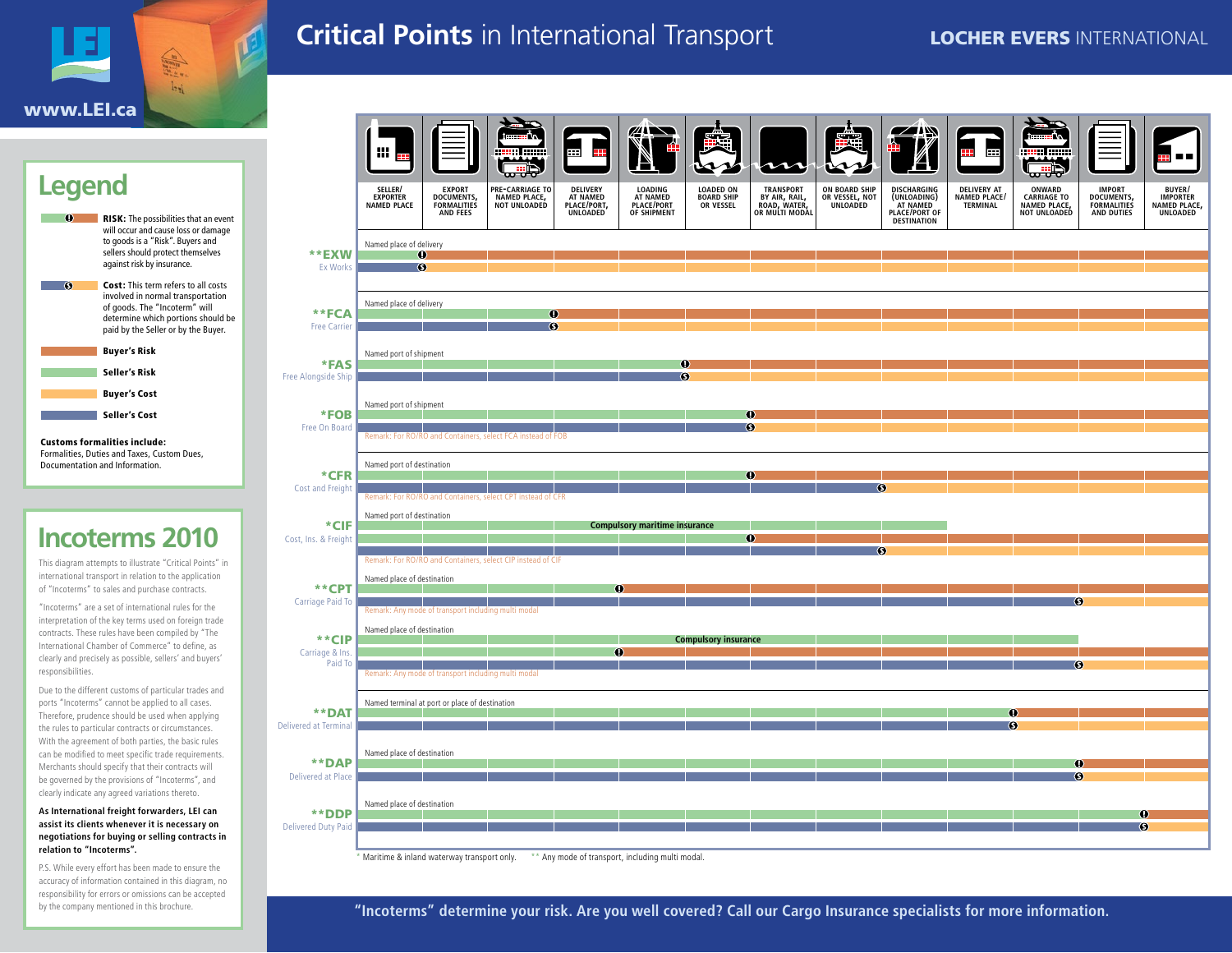

# **Critical Points** in International Transport **LOCHER EVERS INTERNATIONAL**



Formalities, Duties and Taxes, Custom Dues, Documentation and Information.

# **Incoterms 2010**

This diagram attempts to illustrate "Critical Points" in international transport in relation to the application of "Incoterms" to sales and purchase contracts.

"Incoterms" are a set of international rules for the interpretation of the key terms used on foreign trade contracts. These rules have been compiled by "The International Chamber of Commerce" to define, as clearly and precisely as possible, sellers' and buyers' responsibilities.

Due to the different customs of particular trades and ports "Incoterms" cannot be applied to all cases. Therefore, prudence should be used when applying the rules to particular contracts or circumstances. With the agreement of both parties, the basic rules can be modified to meet specific trade requirements. Merchants should specify that their contracts will be governed by the provisions of "Incoterms", and clearly indicate any agreed variations thereto.

#### **As International freight forwarders, LEI can assist its clients whenever it is necessary on negotiations for buying or selling contracts in relation to "Incoterms".**

P.S. While every effort has been made to ensure the accuracy of information contained in this diagram, no responsibility for errors or omissions can be accepted by the company mentioned in this brochure.

|                                       | iii,                                                                                                                                  |                                                     |                                                             | æ                                                      | <b>ALL</b>                                       |                                                     |                                                              |                                             |                                                                        | H                                              | جاتیہ                                                        |                                                  |                                                |
|---------------------------------------|---------------------------------------------------------------------------------------------------------------------------------------|-----------------------------------------------------|-------------------------------------------------------------|--------------------------------------------------------|--------------------------------------------------|-----------------------------------------------------|--------------------------------------------------------------|---------------------------------------------|------------------------------------------------------------------------|------------------------------------------------|--------------------------------------------------------------|--------------------------------------------------|------------------------------------------------|
|                                       | SELLER/<br>EXPORTER<br>NAMED PLACE                                                                                                    | <b>EXPORT</b><br>DOCUMENTS,<br>AND FEES             | <b>PRE-CARRIAGE TO</b><br>NAMED PLACE,                      | <b>DELIVERY</b><br>AT NAMED<br>PLACE/PORT,<br>UNLOADED | LOADING<br>AT NAMED<br>PLACE/PORT<br>OF SHIPMENT | <b>LOADED ON</b><br><b>BOARD SHIP<br/>OR VESSEL</b> | TRANSPORT<br>BY AIR, RAIL,<br>ROAD, WATER,<br>OR MULTI MODAL | ON BOARD SHIP<br>OR VESSEL, NOT<br>UNLOADED | DISCHARGING<br>(UNLOADING)<br>AT NAMED<br>PLACE/PORT OF<br>DESTINATION | <b>DELIVERY AT</b><br>NAMED PLACE/<br>TERMINAL | ONWARD<br><b>CARRIAGE TO</b><br>NAMED PLACE,<br>NOT UNLOADED | <b>IMPORT</b><br>DOCUMENTS,<br><b>AND DUTIES</b> | BUYER/<br>IMPORTER<br>NAMED PLACE,<br>UNLOADED |
| **EXW<br>Ex Works                     | Named place of delivery<br>$^\circledR$<br>$\bullet$                                                                                  |                                                     |                                                             |                                                        |                                                  |                                                     |                                                              |                                             |                                                                        |                                                |                                                              |                                                  |                                                |
| **FCA<br><b>Free Carrier</b>          | Named place of delivery                                                                                                               |                                                     | Φ<br>$\circledS$                                            |                                                        |                                                  |                                                     |                                                              |                                             |                                                                        |                                                |                                                              |                                                  |                                                |
| *FAS<br>Free Alongside Ship           | Named port of shipment                                                                                                                |                                                     |                                                             |                                                        | Ф<br>$\circ$                                     |                                                     |                                                              |                                             |                                                                        |                                                |                                                              |                                                  |                                                |
| *FOB<br>Free On Board                 | Named port of shipment                                                                                                                |                                                     | Remark: For RO/RO and Containers, select FCA instead of FOB |                                                        |                                                  |                                                     | $^\circledR$<br>$\circ$                                      |                                             |                                                                        |                                                |                                                              |                                                  |                                                |
| *CFR<br>Cost and Freight              | Named port of destination                                                                                                             |                                                     |                                                             |                                                        |                                                  |                                                     | Ф                                                            |                                             | $^\circledR$                                                           |                                                |                                                              |                                                  |                                                |
| *CIF<br>Cost, Ins. & Freight          | Remark: For RO/RO and Containers, select CPT instead of CFR<br>Named port of destination<br><b>Compulsory maritime insurance</b><br>Φ |                                                     |                                                             |                                                        |                                                  |                                                     |                                                              |                                             |                                                                        |                                                |                                                              |                                                  |                                                |
| **CPT                                 | Named place of destination                                                                                                            |                                                     | Remark: For RO/RO and Containers, select CIP instead of CIF | $\bullet$                                              |                                                  |                                                     |                                                              |                                             | ഭ                                                                      |                                                |                                                              |                                                  |                                                |
| Carriage Paid To<br>**CIP             | Named place of destination                                                                                                            | Remark: Any mode of transport including multi modal |                                                             |                                                        |                                                  | <b>Compulsory insurance</b>                         |                                                              |                                             |                                                                        |                                                | $\circ$                                                      |                                                  |                                                |
| Carriage & Ins.<br>Paid To            |                                                                                                                                       | Remark: Any mode of transport including multi modal |                                                             | Φ                                                      |                                                  |                                                     |                                                              |                                             |                                                                        |                                                | $\circ$                                                      |                                                  |                                                |
| **DAT<br><b>Delivered at Terminal</b> |                                                                                                                                       | Named terminal at port or place of destination      |                                                             |                                                        |                                                  |                                                     |                                                              |                                             |                                                                        | G                                              | $^{\circ}$                                                   |                                                  |                                                |
| **DAP<br>Delivered at Place           | Named place of destination                                                                                                            |                                                     |                                                             |                                                        |                                                  |                                                     |                                                              |                                             |                                                                        |                                                | $\bf{O}$<br>$\circ$                                          |                                                  |                                                |
| **DDP<br><b>Delivered Duty Paid</b>   | Named place of destination                                                                                                            |                                                     |                                                             |                                                        |                                                  |                                                     |                                                              |                                             |                                                                        |                                                |                                                              | $\circ$                                          | ⊕                                              |

\* Maritime & inland waterway transport only. \*\* Any mode of transport, including multi modal.

**"Incoterms" determine your risk. Are you well covered? Call our Cargo Insurance specialists for more information.**